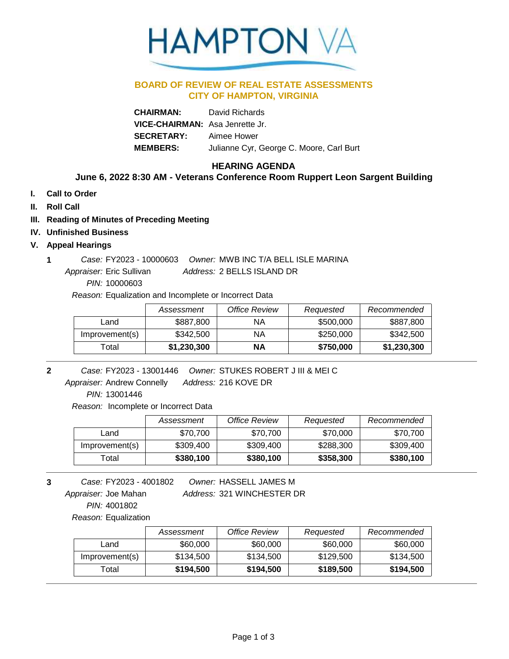

### **BOARD OF REVIEW OF REAL ESTATE ASSESSMENTS CITY OF HAMPTON, VIRGINIA**

**CHAIRMAN:** David Richards **VICE-CHAIRMAN:** Asa Jenrette Jr. **SECRETARY:** Aimee Hower **MEMBERS:** Julianne Cyr, George C. Moore, Carl Burt

# **HEARING AGENDA**

## **June 6, 2022 8:30 AM - Veterans Conference Room Ruppert Leon Sargent Building**

- **I. Call to Order**
- **II. Roll Call**
- **III. Reading of Minutes of Preceding Meeting**
- **IV. Unfinished Business**

#### **V. Appeal Hearings**

Address: 2 BELLS ISLAND DR **1** *Case:* FY2023 - 10000603 *Owner:* MWB INC T/A BELL ISLE MARINA Appraiser: Eric Sullivan

*PIN:* 10000603

*Reason:* Equalization and Incomplete or Incorrect Data

|                | Assessment  | <b>Office Review</b> | Requested | Recommended |
|----------------|-------------|----------------------|-----------|-------------|
| Land           | \$887,800   | <b>NA</b>            | \$500,000 | \$887,800   |
| Improvement(s) | \$342,500   | <b>NA</b>            | \$250,000 | \$342,500   |
| Гоtal          | \$1,230,300 | ΝA                   | \$750,000 | \$1,230,300 |

- **2** *Owner:* STUKES ROBERT J III & MEI C FY2023 - 13001446 *Case:*
	- 216 KOVE DR *Address:* Appraiser: Andrew Connelly

*PIN:* 13001446

*Reason:* Incomplete or Incorrect Data

|                | Assessment | <b>Office Review</b> | Requested | Recommended |
|----------------|------------|----------------------|-----------|-------------|
| Land           | \$70,700   | \$70.700             | \$70,000  | \$70,700    |
| Improvement(s) | \$309,400  | \$309,400            | \$288,300 | \$309,400   |
| ™otal          | \$380,100  | \$380,100            | \$358,300 | \$380,100   |

321 WINCHESTER DR *Address:* **3** *Owner:* HASSELL JAMES M *PIN:* 4001802 FY2023 - 4001802 *Case:* Appraiser: Joe Mahan

*Reason:* Equalization

|                | Assessment | Office Review | Requested | Recommended |
|----------------|------------|---------------|-----------|-------------|
| Land           | \$60,000   | \$60,000      | \$60,000  | \$60,000    |
| Improvement(s) | \$134,500  | \$134,500     | \$129,500 | \$134.500   |
| ⊺otal          | \$194,500  | \$194,500     | \$189,500 | \$194,500   |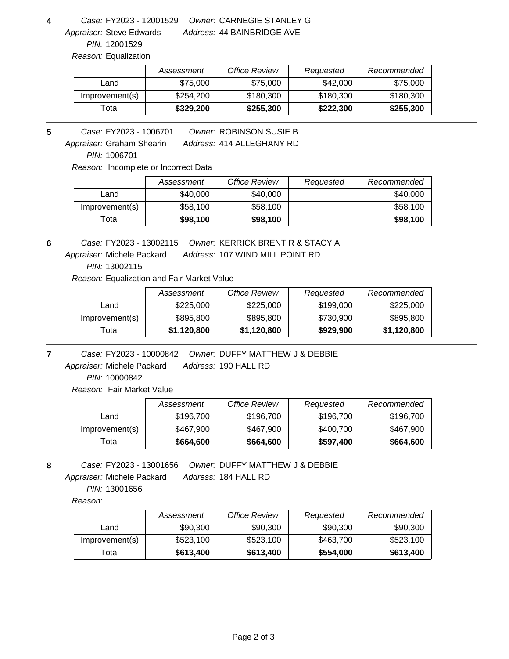**4** *Owner:* CARNEGIE STANLEY G FY2023 - 12001529 *Case:*

*PIN:* 12001529 Appraiser: Steve Edwards

44 BAINBRIDGE AVE *Address:*

*Reason:* Equalization

|                | Assessment | Office Review | Requested | Recommended |
|----------------|------------|---------------|-----------|-------------|
| Land           | \$75,000   | \$75,000      | \$42,000  | \$75,000    |
| Improvement(s) | \$254.200  | \$180,300     | \$180,300 | \$180,300   |
| Гоtal          | \$329,200  | \$255,300     | \$222,300 | \$255,300   |

Address: 414 ALLEGHANY RD **5** *Owner:* ROBINSON SUSIE B FY2023 - 1006701 *Case:* Appraiser: Graham Shearin

*PIN:* 1006701

*Reason:* Incomplete or Incorrect Data

|                | Assessment | Office Review | Requested | Recommended |
|----------------|------------|---------------|-----------|-------------|
| Land           | \$40,000   | \$40,000      |           | \$40,000    |
| Improvement(s) | \$58,100   | \$58,100      |           | \$58,100    |
| $\tau$ otal    | \$98,100   | \$98,100      |           | \$98,100    |

**6** *Owner:* KERRICK BRENT R & STACY A FY2023 - 13002115 *Case:*

Address: 107 WIND MILL POINT RD Appraiser: Michele Packard

*PIN:* 13002115

*Reason:* Equalization and Fair Market Value

|                | Assessment  | Office Review | Requested | Recommended |
|----------------|-------------|---------------|-----------|-------------|
| Land           | \$225,000   | \$225,000     | \$199,000 | \$225,000   |
| Improvement(s) | \$895,800   | \$895,800     | \$730,900 | \$895,800   |
| Total          | \$1,120,800 | \$1,120,800   | \$929,900 | \$1,120,800 |

Address: 190 HALL RD **7** *Owner:* DUFFY MATTHEW J & DEBBIE FY2023 - 10000842 *Case:* Appraiser: Michele Packard

*PIN:* 10000842

*Reason:* Fair Market Value

|                | Assessment | Office Review | Requested | Recommended |
|----------------|------------|---------------|-----------|-------------|
| Land           | \$196,700  | \$196,700     | \$196,700 | \$196,700   |
| Improvement(s) | \$467,900  | \$467,900     | \$400,700 | \$467,900   |
| Γotal          | \$664,600  | \$664,600     | \$597,400 | \$664,600   |

Address: 184 HALL RD **8** *Owner:* DUFFY MATTHEW J & DEBBIE FY2023 - 13001656 *Case:* Appraiser: Michele Packard

*PIN:* 13001656

*Reason:*

|                | Assessment | Office Review | Reauested | Recommended |
|----------------|------------|---------------|-----------|-------------|
| Land           | \$90,300   | \$90,300      | \$90,300  | \$90,300    |
| Improvement(s) | \$523,100  | \$523,100     | \$463,700 | \$523,100   |
| Total          | \$613,400  | \$613,400     | \$554,000 | \$613,400   |